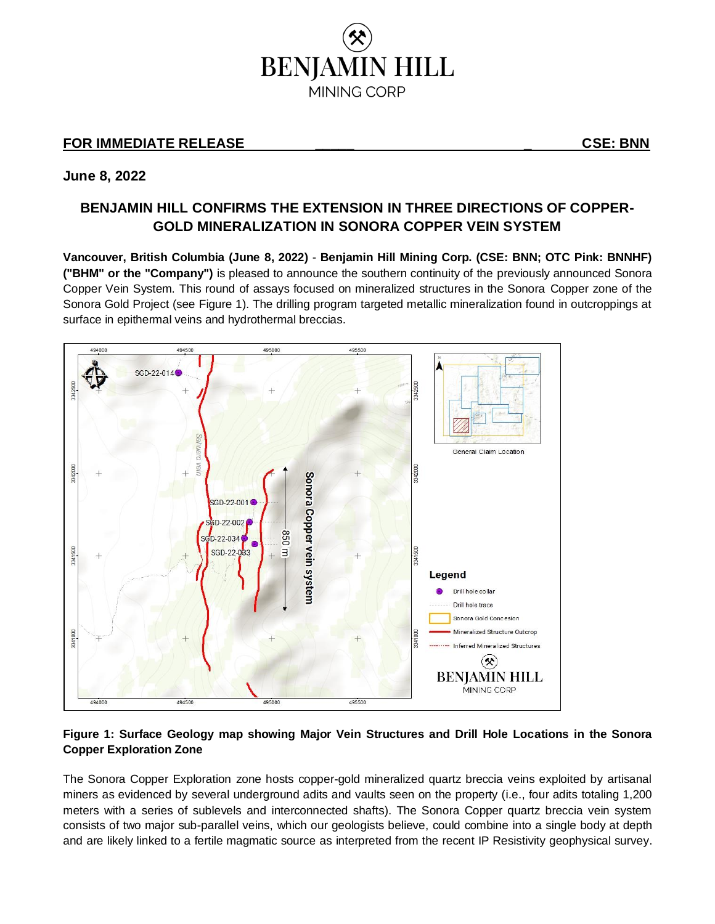

## **FOR IMMEDIATE RELEASE \_\_\_\_\_ \_ CSE: BNN**

### **June 8, 2022**

# **BENJAMIN HILL CONFIRMS THE EXTENSION IN THREE DIRECTIONS OF COPPER-GOLD MINERALIZATION IN SONORA COPPER VEIN SYSTEM**

**Vancouver, British Columbia (June 8, 2022)** - **Benjamin Hill Mining Corp. (CSE: BNN; OTC Pink: BNNHF) ("BHM" or the "Company")** is pleased to announce the southern continuity of the previously announced Sonora Copper Vein System. This round of assays focused on mineralized structures in the Sonora Copper zone of the Sonora Gold Project (see Figure 1). The drilling program targeted metallic mineralization found in outcroppings at surface in epithermal veins and hydrothermal breccias.



### **Figure 1: Surface Geology map showing Major Vein Structures and Drill Hole Locations in the Sonora Copper Exploration Zone**

The Sonora Copper Exploration zone hosts copper-gold mineralized quartz breccia veins exploited by artisanal miners as evidenced by several underground adits and vaults seen on the property (i.e., four adits totaling 1,200 meters with a series of sublevels and interconnected shafts). The Sonora Copper quartz breccia vein system consists of two major sub-parallel veins, which our geologists believe, could combine into a single body at depth and are likely linked to a fertile magmatic source as interpreted from the recent IP Resistivity geophysical survey.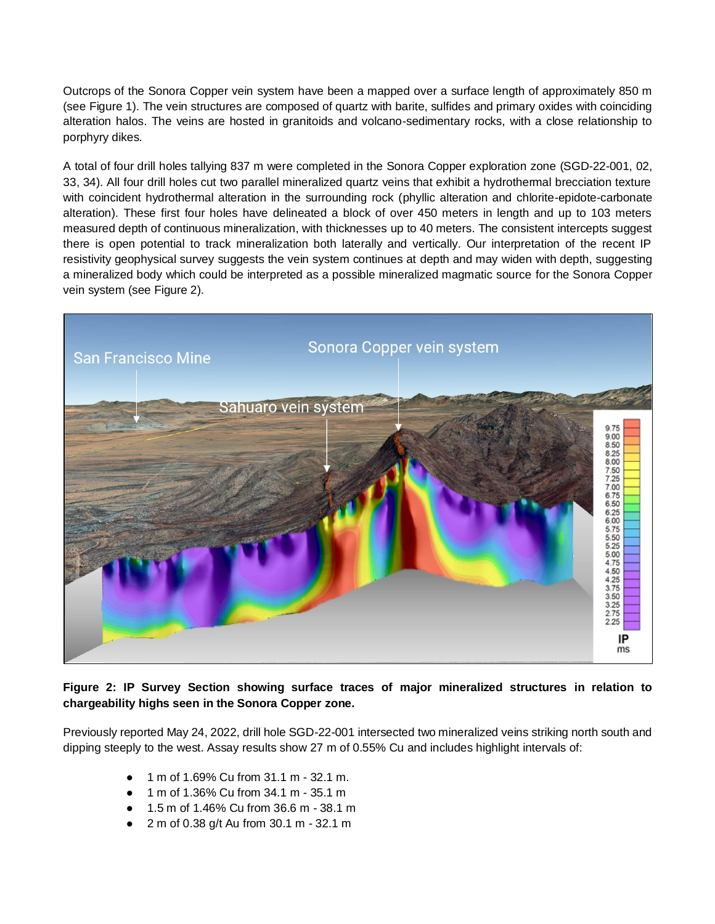Outcrops of the Sonora Copper vein system have been a mapped over a surface length of approximately 850 m (see Figure 1). The vein structures are composed of quartz with barite, sulfides and primary oxides with coinciding alteration halos. The veins are hosted in granitoids and volcano-sedimentary rocks, with a close relationship to porphyry dikes.

A total of four drill holes tallying 837 m were completed in the Sonora Copper exploration zone (SGD-22-001, 02, 33, 34). All four drill holes cut two parallel mineralized quartz veins that exhibit a hydrothermal brecciation texture with coincident hydrothermal alteration in the surrounding rock (phyllic alteration and chlorite-epidote-carbonate alteration). These first four holes have delineated a block of over 450 meters in length and up to 103 meters measured depth of continuous mineralization, with thicknesses up to 40 meters. The consistent intercepts suggest there is open potential to track mineralization both laterally and vertically. Our interpretation of the recent IP resistivity geophysical survey suggests the vein system continues at depth and may widen with depth, suggesting a mineralized body which could be interpreted as a possible mineralized magmatic source for the Sonora Copper vein system (see Figure 2).



### **Figure 2: IP Survey Section showing surface traces of major mineralized structures in relation to chargeability highs seen in the Sonora Copper zone.**

Previously reported May 24, 2022, drill hole SGD-22-001 intersected two mineralized veins striking north south and dipping steeply to the west. Assay results show 27 m of 0.55% Cu and includes highlight intervals of:

- 1 m of 1.69% Cu from 31.1 m 32.1 m.
- 1 m of 1.36% Cu from 34.1 m 35.1 m
- 1.5 m of 1.46% Cu from 36.6 m 38.1 m
- 2 m of 0.38 g/t Au from 30.1 m 32.1 m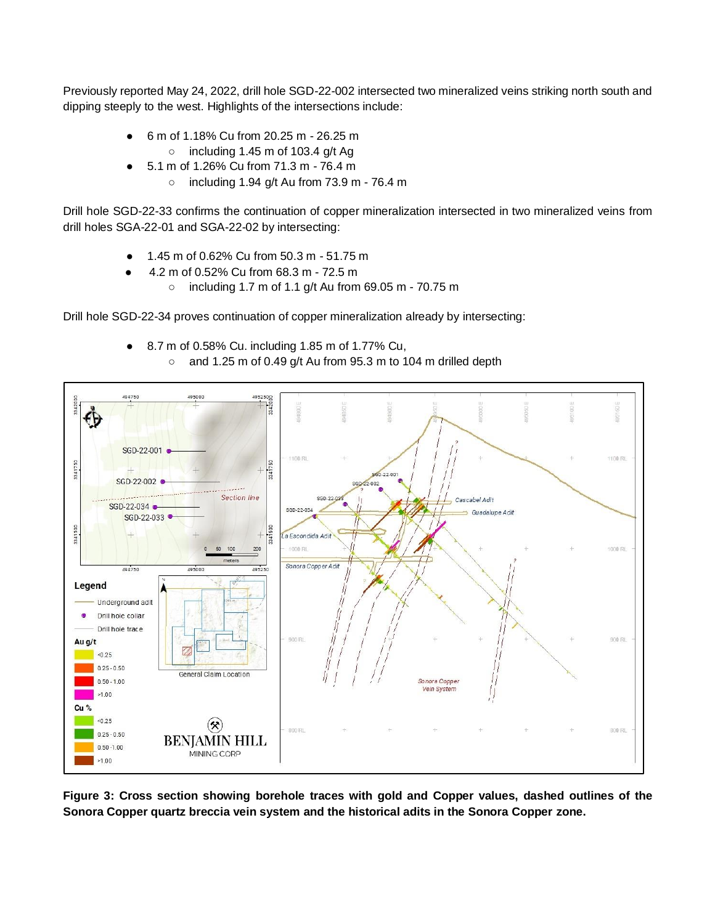Previously reported May 24, 2022, drill hole SGD-22-002 intersected two mineralized veins striking north south and dipping steeply to the west. Highlights of the intersections include:

- 6 m of 1.18% Cu from 20.25 m 26.25 m
- $\circ$  including 1.45 m of 103.4 g/t Ag
- 5.1 m of 1.26% Cu from 71.3 m 76.4 m
	- $\circ$  including 1.94 g/t Au from 73.9 m 76.4 m

Drill hole SGD-22-33 confirms the continuation of copper mineralization intersected in two mineralized veins from drill holes SGA-22-01 and SGA-22-02 by intersecting:

- 1.45 m of 0.62% Cu from 50.3 m 51.75 m
- 4.2 m of 0.52% Cu from 68.3 m 72.5 m
	- including 1.7 m of 1.1 g/t Au from 69.05 m 70.75 m

Drill hole SGD-22-34 proves continuation of copper mineralization already by intersecting:

● 8.7 m of 0.58% Cu. including 1.85 m of 1.77% Cu, ○ and 1.25 m of 0.49 g/t Au from 95.3 m to 104 m drilled depth



**Figure 3: Cross section showing borehole traces with gold and Copper values, dashed outlines of the Sonora Copper quartz breccia vein system and the historical adits in the Sonora Copper zone.**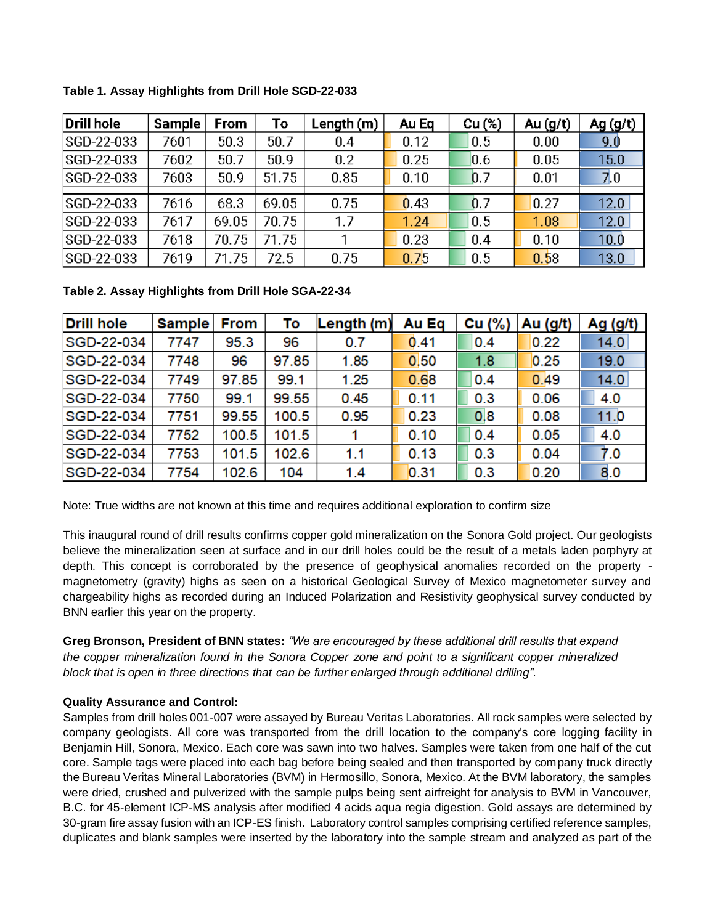| <b>Drill hole</b> | <b>Sample</b> | <b>From</b> | Т٥    | Length $(m)$ | Au Eq | Cu(%) | Au $(g/t)$ | Ag (g/t) |
|-------------------|---------------|-------------|-------|--------------|-------|-------|------------|----------|
| SGD-22-033        | 7601          | 50.3        | 50.7  | 0.4          | 0.12  | 0.5   | 0.00       | 9.0      |
| SGD-22-033        | 7602          | 50.7        | 50.9  | 0.2          | 0.25  | 0.6   | 0.05       | 15.0     |
| SGD-22-033        | 7603          | 50.9        | 51.75 | 0.85         | 0.10  | 0.7   | 0.01       | 7.0      |
|                   |               |             |       |              |       |       |            |          |
| SGD-22-033        | 7616          | 68.3        | 69.05 | 0.75         | 0.43  | 0.7   | 0.27       | 12.0     |
| SGD-22-033        | 7617          | 69.05       | 70.75 | 1.7          | 1.24  | 0.5   | 1.08       | 12.0     |
| SGD-22-033        | 7618          | 70.75       | 71.75 |              | 0.23  | 0.4   | 0.10       | 10.0     |
| SGD-22-033        | 7619          | 71.75       | 72.5  | 0.75         | 0.75  | 0.5   | 0.58       | 13.0     |

**Table 1. Assay Highlights from Drill Hole SGD-22-033**

**Table 2. Assay Highlights from Drill Hole SGA-22-34**

| <b>Drill hole</b> | <b>Sample</b> | <b>From</b> | To    | Length $(m)$ | Au Eq | Cu $(%)$ | Au (g/t) | Ag $(g/t)$ |
|-------------------|---------------|-------------|-------|--------------|-------|----------|----------|------------|
| SGD-22-034        | 7747          | 95.3        | 96    | 0.7          | 0.41  | 0.4      | 0.22     | 14.0       |
| SGD-22-034        | 7748          | 96          | 97.85 | 1.85         | 0.50  | 1.8      | 0.25     | 19.0       |
| SGD-22-034        | 7749          | 97.85       | 99.1  | 1.25         | 0.68  | 0.4      | 0.49     | 14.0       |
| SGD-22-034        | 7750          | 99.1        | 99.55 | 0.45         | 0.11  | 0.3      | 0.06     | 4.0        |
| SGD-22-034        | 7751          | 99.55       | 100.5 | 0.95         | 0.23  | 0,8      | 0.08     | 11.0       |
| SGD-22-034        | 7752          | 100.5       | 101.5 |              | 0.10  | 0.4      | 0.05     | 4.0        |
| SGD-22-034        | 7753          | 101.5       | 102.6 | 1.1          | 0.13  | 0.3      | 0.04     | 7.0        |
| SGD-22-034        | 7754          | 102.6       | 104   | 1.4          | 0.31  | 0.3      | 0.20     | 8.0        |

Note: True widths are not known at this time and requires additional exploration to confirm size

This inaugural round of drill results confirms copper gold mineralization on the Sonora Gold project. Our geologists believe the mineralization seen at surface and in our drill holes could be the result of a metals laden porphyry at depth. This concept is corroborated by the presence of geophysical anomalies recorded on the property magnetometry (gravity) highs as seen on a historical Geological Survey of Mexico magnetometer survey and chargeability highs as recorded during an Induced Polarization and Resistivity geophysical survey conducted by BNN earlier this year on the property.

**Greg Bronson, President of BNN states:** *"We are encouraged by these additional drill results that expand the copper mineralization found in the Sonora Copper zone and point to a significant copper mineralized block that is open in three directions that can be further enlarged through additional drilling".* 

### **Quality Assurance and Control:**

Samples from drill holes 001-007 were assayed by Bureau Veritas Laboratories. All rock samples were selected by company geologists. All core was transported from the drill location to the company's core logging facility in Benjamin Hill, Sonora, Mexico. Each core was sawn into two halves. Samples were taken from one half of the cut core. Sample tags were placed into each bag before being sealed and then transported by company truck directly the Bureau Veritas Mineral Laboratories (BVM) in Hermosillo, Sonora, Mexico. At the BVM laboratory, the samples were dried, crushed and pulverized with the sample pulps being sent airfreight for analysis to BVM in Vancouver, B.C. for 45-element ICP-MS analysis after modified 4 acids aqua regia digestion. Gold assays are determined by 30-gram fire assay fusion with an ICP-ES finish. Laboratory control samples comprising certified reference samples, duplicates and blank samples were inserted by the laboratory into the sample stream and analyzed as part of the